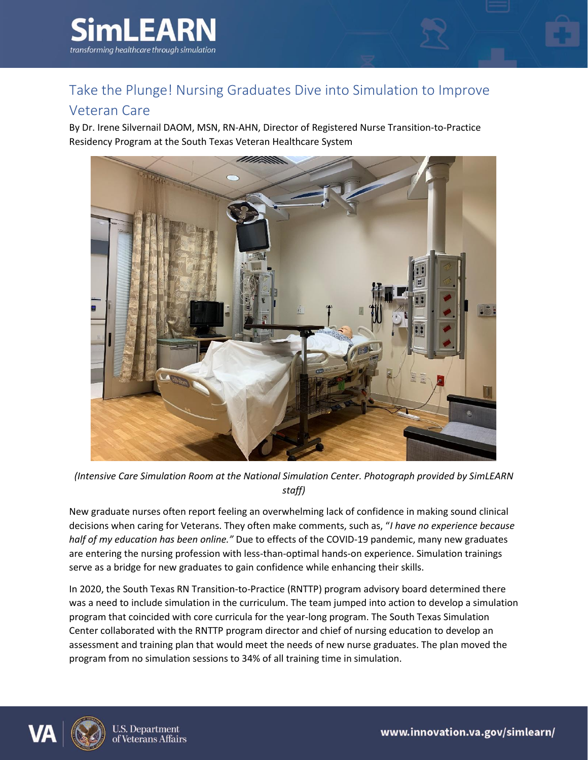

## Take the Plunge! Nursing Graduates Dive into Simulation to Improve

## Veteran Care

By Dr. Irene Silvernail DAOM, MSN, RN-AHN, Director of Registered Nurse Transition-to-Practice Residency Program at the South Texas Veteran Healthcare System



*(Intensive Care Simulation Room at the National Simulation Center. Photograph provided by SimLEARN staff)*

New graduate nurses often report feeling an overwhelming lack of confidence in making sound clinical decisions when caring for Veterans. They often make comments, such as, "*I have no experience because half of my education has been online."* Due to effects of the COVID-19 pandemic, many new graduates are entering the nursing profession with less-than-optimal hands-on experience. Simulation trainings serve as a bridge for new graduates to gain confidence while enhancing their skills.

In 2020, the South Texas RN Transition-to-Practice (RNTTP) program advisory board determined there was a need to include simulation in the curriculum. The team jumped into action to develop a simulation program that coincided with core curricula for the year-long program. The South Texas Simulation Center collaborated with the RNTTP program director and chief of nursing education to develop an assessment and training plan that would meet the needs of new nurse graduates. The plan moved the program from no simulation sessions to 34% of all training time in simulation.